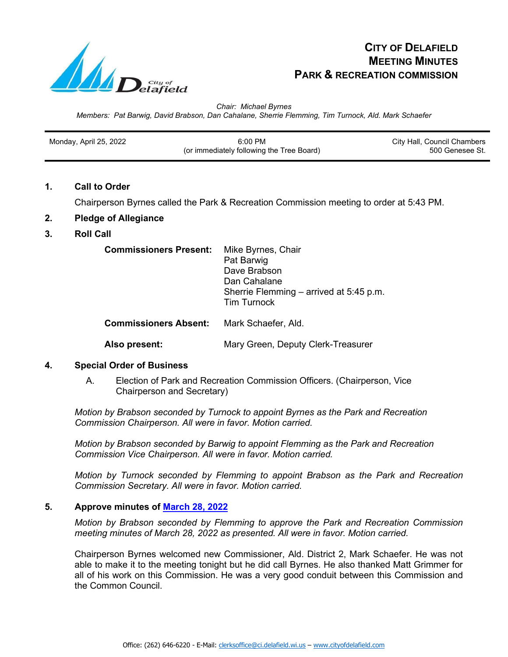

# **CITY OF DELAFIELD MEETING MINUTES PARK & RECREATION COMMISSION**

*Chair: Michael Byrnes Members: Pat Barwig, David Brabson, Dan Cahalane, Sherrie Flemming, Tim Turnock, Ald. Mark Schaefer*

| Monday, April 25, 2022 | $6:00$ PM                                 | City Hall, Council Chambers |
|------------------------|-------------------------------------------|-----------------------------|
|                        |                                           |                             |
|                        | (or immediately following the Tree Board) | 500 Genesee St.             |

## **1. Call to Order**

Chairperson Byrnes called the Park & Recreation Commission meeting to order at 5:43 PM.

# **2. Pledge of Allegiance**

## **3. Roll Call**

| <b>Commissioners Present:</b> | Mike Byrnes, Chair<br>Pat Barwig<br>Dave Brabson<br>Dan Cahalane<br>Sherrie Flemming – arrived at 5:45 p.m.<br><b>Tim Turnock</b> |
|-------------------------------|-----------------------------------------------------------------------------------------------------------------------------------|
| <b>Commissioners Absent:</b>  | Mark Schaefer, Ald.                                                                                                               |

**Also present:** Mary Green, Deputy Clerk-Treasurer

## **4. Special Order of Business**

A. Election of Park and Recreation Commission Officers. (Chairperson, Vice Chairperson and Secretary)

*Motion by Brabson seconded by Turnock to appoint Byrnes as the Park and Recreation Commission Chairperson. All were in favor. Motion carried.*

*Motion by Brabson seconded by Barwig to appoint Flemming as the Park and Recreation Commission Vice Chairperson. All were in favor. Motion carried.*

*Motion by Turnock seconded by Flemming to appoint Brabson as the Park and Recreation Commission Secretary. All were in favor. Motion carried.*

## **5. Approve minutes of [March 28, 2022](https://www.cityofdelafield.com/AgendaCenter/ViewFile/Minutes/_03282022-636)**

*Motion by Brabson seconded by Flemming to approve the Park and Recreation Commission meeting minutes of March 28, 2022 as presented. All were in favor. Motion carried.*

Chairperson Byrnes welcomed new Commissioner, Ald. District 2, Mark Schaefer. He was not able to make it to the meeting tonight but he did call Byrnes. He also thanked Matt Grimmer for all of his work on this Commission. He was a very good conduit between this Commission and the Common Council.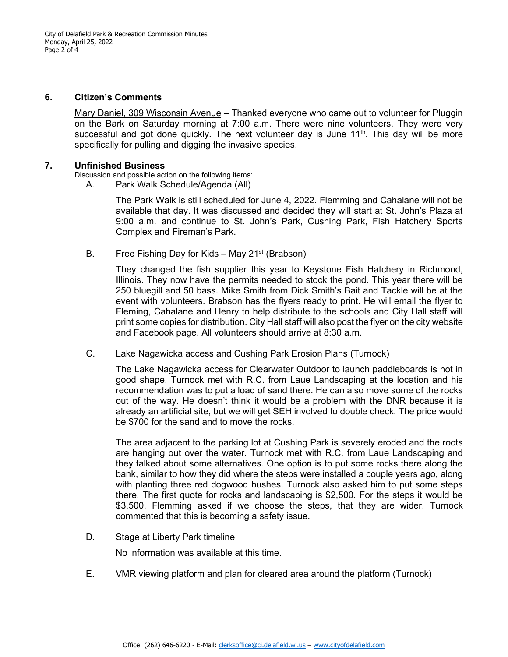City of Delafield Park & Recreation Commission Minutes Monday, April 25, 2022 Page 2 of 4

#### **6. Citizen's Comments**

Mary Daniel, 309 Wisconsin Avenue – Thanked everyone who came out to volunteer for Pluggin on the Bark on Saturday morning at 7:00 a.m. There were nine volunteers. They were very successful and got done quickly. The next volunteer day is June  $11<sup>th</sup>$ . This day will be more specifically for pulling and digging the invasive species.

## **7. Unfinished Business**

Discussion and possible action on the following items:

A. Park Walk Schedule/Agenda (All)

The Park Walk is still scheduled for June 4, 2022. Flemming and Cahalane will not be available that day. It was discussed and decided they will start at St. John's Plaza at 9:00 a.m. and continue to St. John's Park, Cushing Park, Fish Hatchery Sports Complex and Fireman's Park.

B. Free Fishing Day for Kids – May  $21^{st}$  (Brabson)

They changed the fish supplier this year to Keystone Fish Hatchery in Richmond, Illinois. They now have the permits needed to stock the pond. This year there will be 250 bluegill and 50 bass. Mike Smith from Dick Smith's Bait and Tackle will be at the event with volunteers. Brabson has the flyers ready to print. He will email the flyer to Fleming, Cahalane and Henry to help distribute to the schools and City Hall staff will print some copies for distribution. City Hall staff will also post the flyer on the city website and Facebook page. All volunteers should arrive at 8:30 a.m.

C. Lake Nagawicka access and Cushing Park Erosion Plans (Turnock)

The Lake Nagawicka access for Clearwater Outdoor to launch paddleboards is not in good shape. Turnock met with R.C. from Laue Landscaping at the location and his recommendation was to put a load of sand there. He can also move some of the rocks out of the way. He doesn't think it would be a problem with the DNR because it is already an artificial site, but we will get SEH involved to double check. The price would be \$700 for the sand and to move the rocks.

The area adjacent to the parking lot at Cushing Park is severely eroded and the roots are hanging out over the water. Turnock met with R.C. from Laue Landscaping and they talked about some alternatives. One option is to put some rocks there along the bank, similar to how they did where the steps were installed a couple years ago, along with planting three red dogwood bushes. Turnock also asked him to put some steps there. The first quote for rocks and landscaping is \$2,500. For the steps it would be \$3,500. Flemming asked if we choose the steps, that they are wider. Turnock commented that this is becoming a safety issue.

D. Stage at Liberty Park timeline

No information was available at this time.

E. VMR viewing platform and plan for cleared area around the platform (Turnock)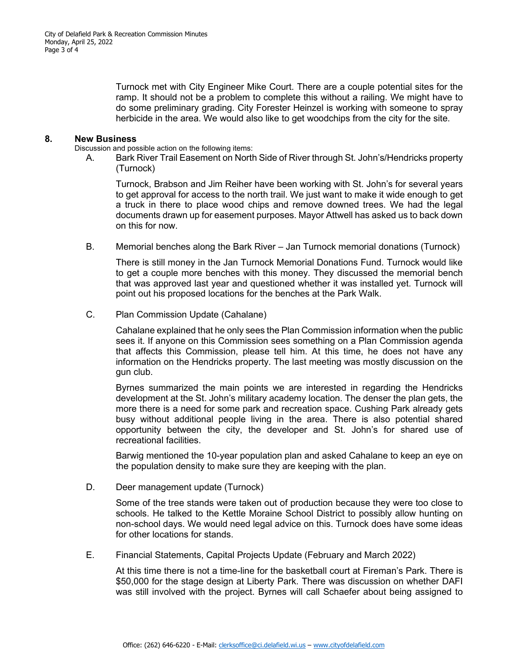Turnock met with City Engineer Mike Court. There are a couple potential sites for the ramp. It should not be a problem to complete this without a railing. We might have to do some preliminary grading. City Forester Heinzel is working with someone to spray herbicide in the area. We would also like to get woodchips from the city for the site.

#### **8. New Business**

Discussion and possible action on the following items:

A. Bark River Trail Easement on North Side of River through St. John's/Hendricks property (Turnock)

Turnock, Brabson and Jim Reiher have been working with St. John's for several years to get approval for access to the north trail. We just want to make it wide enough to get a truck in there to place wood chips and remove downed trees. We had the legal documents drawn up for easement purposes. Mayor Attwell has asked us to back down on this for now.

B. Memorial benches along the Bark River – Jan Turnock memorial donations (Turnock)

There is still money in the Jan Turnock Memorial Donations Fund. Turnock would like to get a couple more benches with this money. They discussed the memorial bench that was approved last year and questioned whether it was installed yet. Turnock will point out his proposed locations for the benches at the Park Walk.

C. Plan Commission Update (Cahalane)

Cahalane explained that he only sees the Plan Commission information when the public sees it. If anyone on this Commission sees something on a Plan Commission agenda that affects this Commission, please tell him. At this time, he does not have any information on the Hendricks property. The last meeting was mostly discussion on the gun club.

Byrnes summarized the main points we are interested in regarding the Hendricks development at the St. John's military academy location. The denser the plan gets, the more there is a need for some park and recreation space. Cushing Park already gets busy without additional people living in the area. There is also potential shared opportunity between the city, the developer and St. John's for shared use of recreational facilities.

Barwig mentioned the 10-year population plan and asked Cahalane to keep an eye on the population density to make sure they are keeping with the plan.

D. Deer management update (Turnock)

Some of the tree stands were taken out of production because they were too close to schools. He talked to the Kettle Moraine School District to possibly allow hunting on non-school days. We would need legal advice on this. Turnock does have some ideas for other locations for stands.

E. Financial Statements, Capital Projects Update (February and March 2022)

At this time there is not a time-line for the basketball court at Fireman's Park. There is \$50,000 for the stage design at Liberty Park. There was discussion on whether DAFI was still involved with the project. Byrnes will call Schaefer about being assigned to